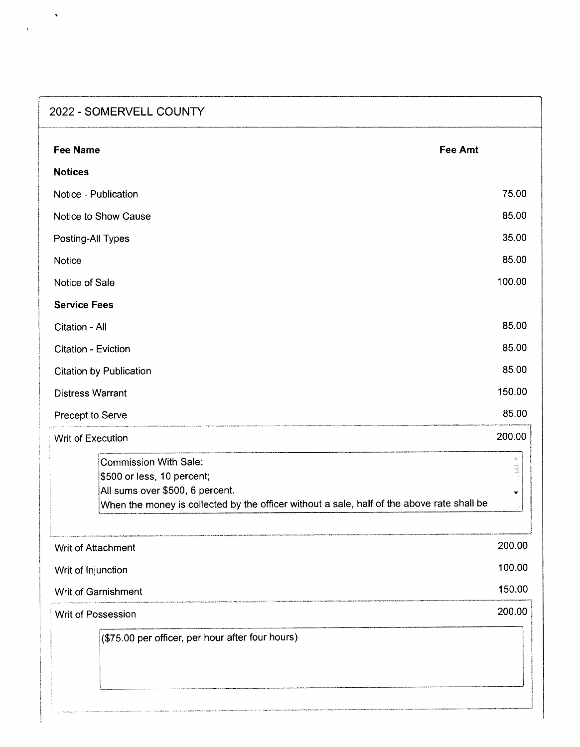| 2022 - SOMERVELL COUNTY                                                                                                                                                                     |                    |
|---------------------------------------------------------------------------------------------------------------------------------------------------------------------------------------------|--------------------|
| <b>Fee Amt</b><br><b>Fee Name</b>                                                                                                                                                           |                    |
| <b>Notices</b>                                                                                                                                                                              |                    |
| Notice - Publication                                                                                                                                                                        | 75.00              |
| Notice to Show Cause                                                                                                                                                                        | 85.00              |
| Posting-All Types                                                                                                                                                                           | 35.00              |
| Notice                                                                                                                                                                                      | 85.00              |
| Notice of Sale                                                                                                                                                                              | 100.00             |
| <b>Service Fees</b>                                                                                                                                                                         |                    |
| Citation - All                                                                                                                                                                              | 85.00              |
| Citation - Eviction                                                                                                                                                                         | 85.00              |
| <b>Citation by Publication</b>                                                                                                                                                              | 85.00              |
| <b>Distress Warrant</b>                                                                                                                                                                     | 150.00             |
| Precept to Serve                                                                                                                                                                            | 85.00              |
| Writ of Execution                                                                                                                                                                           | 200.00             |
| <b>Commission With Sale:</b><br>\$500 or less, 10 percent;<br>All sums over \$500, 6 percent.<br>When the money is collected by the officer without a sale, half of the above rate shall be | $\frac{1}{2}$<br>▼ |
| Writ of Attachment                                                                                                                                                                          | 200.00             |
| Writ of Injunction                                                                                                                                                                          | 100.00             |
| Writ of Garnishment                                                                                                                                                                         | 150.00             |
| <b>Writ of Possession</b>                                                                                                                                                                   | 200.00             |
| (\$75.00 per officer, per hour after four hours)                                                                                                                                            |                    |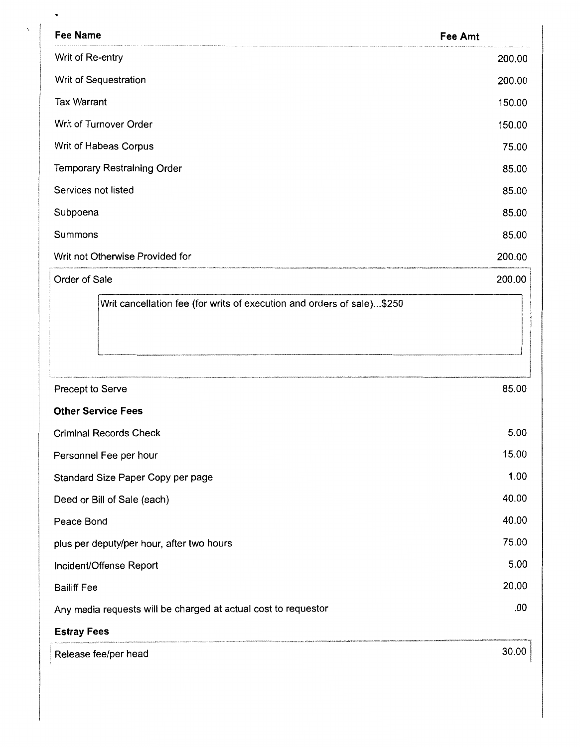| <b>Fee Name</b>                                                        | Fee Amt |
|------------------------------------------------------------------------|---------|
| Writ of Re-entry                                                       | 200.00  |
| Writ of Sequestration                                                  | 200.00  |
| <b>Tax Warrant</b>                                                     | 150.00  |
| Writ of Turnover Order                                                 | 150.00  |
| Writ of Habeas Corpus                                                  | 75.00   |
| <b>Temporary Restraining Order</b>                                     | 85.00   |
| Services not listed                                                    | 85.00   |
| Subpoena                                                               | 85.00   |
| Summons                                                                | 85.00   |
| Writ not Otherwise Provided for                                        | 200.00  |
| Order of Sale                                                          | 200.00  |
| Writ cancellation fee (for writs of execution and orders of sale)\$250 |         |
| Precept to Serve                                                       | 85.00   |
| <b>Other Service Fees</b>                                              |         |
| <b>Criminal Records Check</b>                                          | 5.00    |
| Personnel Fee per hour                                                 | 15.00   |
| Standard Size Paper Copy per page                                      | 1.00    |
| Deed or Bill of Sale (each)                                            | 40.00   |
| Peace Bond                                                             | 40.00   |
| plus per deputy/per hour, after two hours                              | 75.00   |
| Incident/Offense Report                                                | 5.00    |
| <b>Bailiff Fee</b>                                                     | 20.00   |
| Any media requests will be charged at actual cost to requestor         | .00     |
| <b>Estray Fees</b>                                                     |         |
| Release fee/per head                                                   | 30.00   |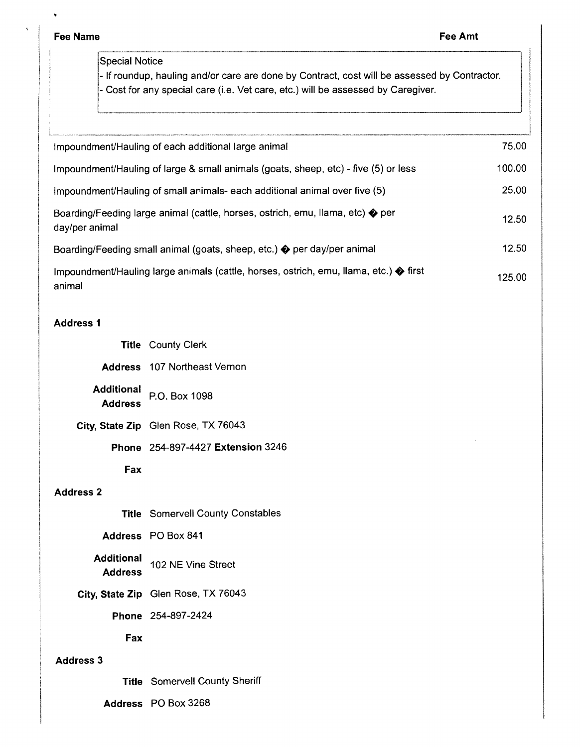**Fee Name Fee Amt** 

 $\hat{\mathbf{z}}$ 

Special Notice

- If roundup, hauling and/or care are done by Contract, cost will be assessed by Contractor. - Cost for any special care (i.e. Vet care, etc.) will be assessed by Caregiver.

| Impoundment/Hauling of each additional large animal                                                       | 75.00  |
|-----------------------------------------------------------------------------------------------------------|--------|
| Impoundment/Hauling of large & small animals (goats, sheep, etc) - five (5) or less                       | 100.00 |
| Impoundment/Hauling of small animals- each additional animal over five (5)                                | 25.00  |
| Boarding/Feeding large animal (cattle, horses, ostrich, emu, llama, etc) ♦ per<br>day/per animal          | 12.50  |
| Boarding/Feeding small animal (goats, sheep, etc.) $\diamondsuit$ per day/per animal                      | 12.50  |
| Impoundment/Hauling large animals (cattle, horses, ostrich, emu, llama, etc.) $\clubsuit$ first<br>animal | 125.00 |

## **Address 1**

|  | <b>Title County Clerk</b> |  |
|--|---------------------------|--|
|--|---------------------------|--|

**Address** 107 Northeast Vernon

**Additional**  P.O. Box 1098 **Address** 

**City, State Zip** Glen Rose, TX 76043

**Phone** 254-897-4427 **Extension** 3246

**Fax** 

## **Address 2**

**Title** Somervell County Constables

**Address** PO Box 841

**Additional** 102 NE Vine Street **Address** 

**City, State Zip** Glen Rose, TX 76043

**Phone** 254-897-2424

**Fax** 

## **Address 3**

**Title** Somervell County Sheriff

**Address** PO Box 3268